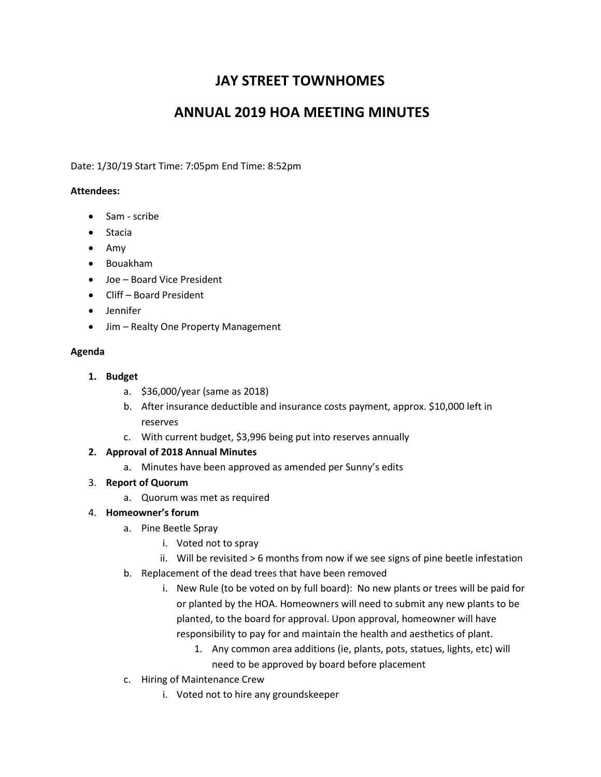# **JAY STREET TOWNHOMES**

## **ANNUAL 2019 HOA MEETING MINUTES**

Date: 1/30/19 Start Time: 7:05pm End Time: 8:52pm

## **Attendees:**

- Sam scribe
- Stacia
- $\bullet$  Amy
- Bouakham
- Joe Board Vice President
- Cliff Board President
- Jennifer
- Jim Realty One Property Management

## **Agenda**

- **1. Budget**
	- a. \$36,000/year (same as 2018)
	- b. After insurance deductible and insurance costs payment, approx. \$10,000 left in reserves
	- c. With current budget, \$3,996 being put into reserves annually

## **2. Approval of 2018 Annual Minutes**

- a. Minutes have been approved as amended per Sunny's edits
- 3. **Report of Quorum**
	- a. Quorum was met as required

## 4. **Homeowner's forum**

- a. Pine Beetle Spray
	- i. Voted not to spray
	- ii. Will be revisited > 6 months from now if we see signs of pine beetle infestation
- b. Replacement of the dead trees that have been removed
	- i. New Rule (to be voted on by full board): No new plants or trees will be paid for or planted by the HOA. Homeowners will need to submit any new plants to be planted, to the board for approval. Upon approval, homeowner will have responsibility to pay for and maintain the health and aesthetics of plant.
		- 1. Any common area additions (ie, plants, pots, statues, lights, etc) will need to be approved by board before placement
- c. Hiring of Maintenance Crew
	- i. Voted not to hire any groundskeeper